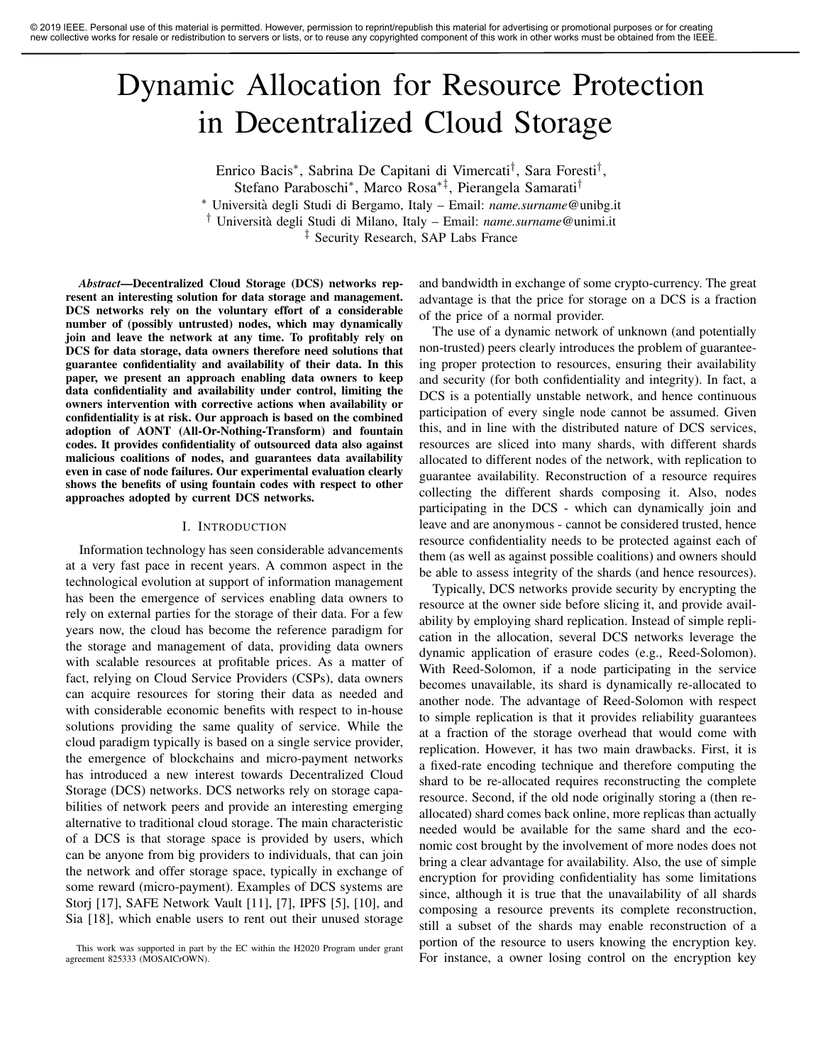# Dynamic Allocation for Resource Protection in Decentralized Cloud Storage

Enrico Bacis<sup>∗</sup> , Sabrina De Capitani di Vimercati† , Sara Foresti† , Stefano Paraboschi<sup>∗</sup> , Marco Rosa∗‡, Pierangela Samarati† <sup>∗</sup> Universita degli Studi di Bergamo, Italy – Email: ` *name.surname*@unibg.it † Universita degli Studi di Milano, Italy – Email: ` *name.surname*@unimi.it ‡ Security Research, SAP Labs France

*Abstract*—Decentralized Cloud Storage (DCS) networks represent an interesting solution for data storage and management. DCS networks rely on the voluntary effort of a considerable number of (possibly untrusted) nodes, which may dynamically join and leave the network at any time. To profitably rely on DCS for data storage, data owners therefore need solutions that guarantee confidentiality and availability of their data. In this paper, we present an approach enabling data owners to keep data confidentiality and availability under control, limiting the owners intervention with corrective actions when availability or confidentiality is at risk. Our approach is based on the combined adoption of AONT (All-Or-Nothing-Transform) and fountain codes. It provides confidentiality of outsourced data also against malicious coalitions of nodes, and guarantees data availability even in case of node failures. Our experimental evaluation clearly shows the benefits of using fountain codes with respect to other approaches adopted by current DCS networks.

#### I. INTRODUCTION

Information technology has seen considerable advancements at a very fast pace in recent years. A common aspect in the technological evolution at support of information management has been the emergence of services enabling data owners to rely on external parties for the storage of their data. For a few years now, the cloud has become the reference paradigm for the storage and management of data, providing data owners with scalable resources at profitable prices. As a matter of fact, relying on Cloud Service Providers (CSPs), data owners can acquire resources for storing their data as needed and with considerable economic benefits with respect to in-house solutions providing the same quality of service. While the cloud paradigm typically is based on a single service provider, the emergence of blockchains and micro-payment networks has introduced a new interest towards Decentralized Cloud Storage (DCS) networks. DCS networks rely on storage capabilities of network peers and provide an interesting emerging alternative to traditional cloud storage. The main characteristic of a DCS is that storage space is provided by users, which can be anyone from big providers to individuals, that can join the network and offer storage space, typically in exchange of some reward (micro-payment). Examples of DCS systems are Storj [17], SAFE Network Vault [11], [7], IPFS [5], [10], and Sia [18], which enable users to rent out their unused storage and bandwidth in exchange of some crypto-currency. The great advantage is that the price for storage on a DCS is a fraction of the price of a normal provider.

The use of a dynamic network of unknown (and potentially non-trusted) peers clearly introduces the problem of guaranteeing proper protection to resources, ensuring their availability and security (for both confidentiality and integrity). In fact, a DCS is a potentially unstable network, and hence continuous participation of every single node cannot be assumed. Given this, and in line with the distributed nature of DCS services, resources are sliced into many shards, with different shards allocated to different nodes of the network, with replication to guarantee availability. Reconstruction of a resource requires collecting the different shards composing it. Also, nodes participating in the DCS - which can dynamically join and leave and are anonymous - cannot be considered trusted, hence resource confidentiality needs to be protected against each of them (as well as against possible coalitions) and owners should be able to assess integrity of the shards (and hence resources).

Typically, DCS networks provide security by encrypting the resource at the owner side before slicing it, and provide availability by employing shard replication. Instead of simple replication in the allocation, several DCS networks leverage the dynamic application of erasure codes (e.g., Reed-Solomon). With Reed-Solomon, if a node participating in the service becomes unavailable, its shard is dynamically re-allocated to another node. The advantage of Reed-Solomon with respect to simple replication is that it provides reliability guarantees at a fraction of the storage overhead that would come with replication. However, it has two main drawbacks. First, it is a fixed-rate encoding technique and therefore computing the shard to be re-allocated requires reconstructing the complete resource. Second, if the old node originally storing a (then reallocated) shard comes back online, more replicas than actually needed would be available for the same shard and the economic cost brought by the involvement of more nodes does not bring a clear advantage for availability. Also, the use of simple encryption for providing confidentiality has some limitations since, although it is true that the unavailability of all shards composing a resource prevents its complete reconstruction, still a subset of the shards may enable reconstruction of a portion of the resource to users knowing the encryption key. For instance, a owner losing control on the encryption key

This work was supported in part by the EC within the H2020 Program under grant agreement 825333 (MOSAICrOWN).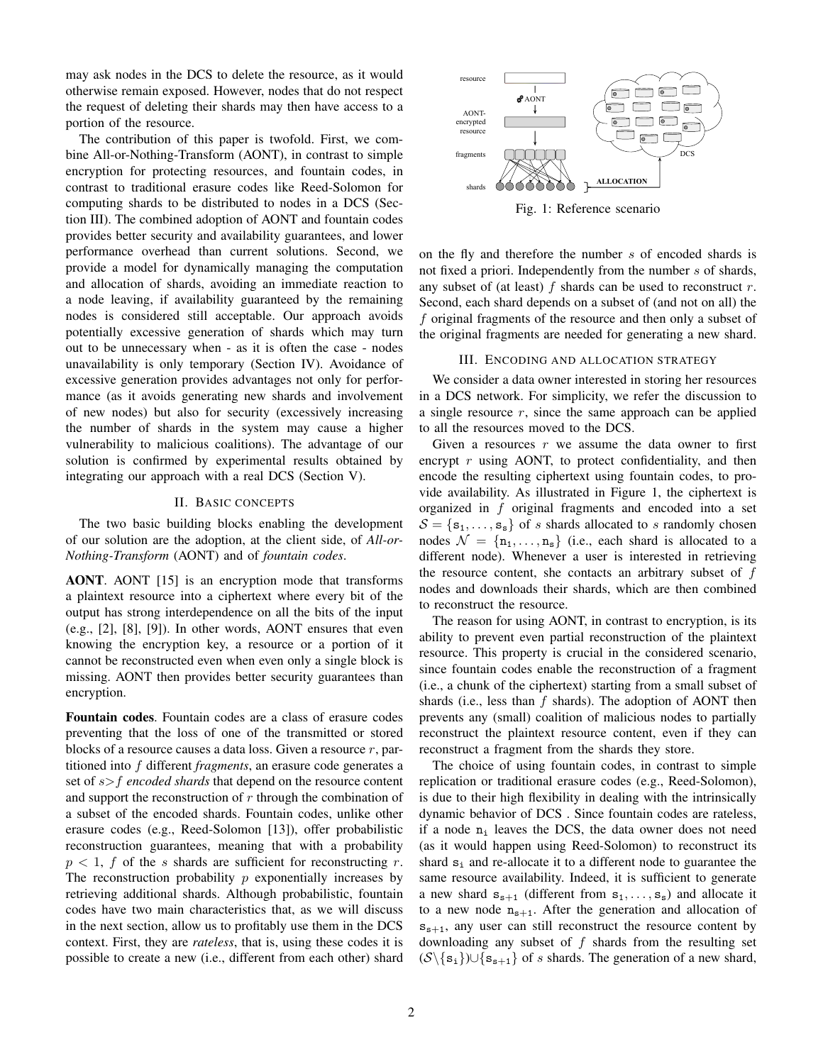may ask nodes in the DCS to delete the resource, as it would otherwise remain exposed. However, nodes that do not respect the request of deleting their shards may then have access to a portion of the resource.

The contribution of this paper is twofold. First, we combine All-or-Nothing-Transform (AONT), in contrast to simple encryption for protecting resources, and fountain codes, in contrast to traditional erasure codes like Reed-Solomon for computing shards to be distributed to nodes in a DCS (Section III). The combined adoption of AONT and fountain codes provides better security and availability guarantees, and lower performance overhead than current solutions. Second, we provide a model for dynamically managing the computation and allocation of shards, avoiding an immediate reaction to a node leaving, if availability guaranteed by the remaining nodes is considered still acceptable. Our approach avoids potentially excessive generation of shards which may turn out to be unnecessary when - as it is often the case - nodes unavailability is only temporary (Section IV). Avoidance of excessive generation provides advantages not only for performance (as it avoids generating new shards and involvement of new nodes) but also for security (excessively increasing the number of shards in the system may cause a higher vulnerability to malicious coalitions). The advantage of our solution is confirmed by experimental results obtained by integrating our approach with a real DCS (Section V).

# II. BASIC CONCEPTS

The two basic building blocks enabling the development of our solution are the adoption, at the client side, of *All-or-Nothing-Transform* (AONT) and of *fountain codes*.

AONT. AONT [15] is an encryption mode that transforms a plaintext resource into a ciphertext where every bit of the output has strong interdependence on all the bits of the input (e.g., [2], [8], [9]). In other words, AONT ensures that even knowing the encryption key, a resource or a portion of it cannot be reconstructed even when even only a single block is missing. AONT then provides better security guarantees than encryption.

Fountain codes. Fountain codes are a class of erasure codes preventing that the loss of one of the transmitted or stored blocks of a resource causes a data loss. Given a resource  $r$ , partitioned into f different *fragments*, an erasure code generates a set of s>f *encoded shards* that depend on the resource content and support the reconstruction of  $r$  through the combination of a subset of the encoded shards. Fountain codes, unlike other erasure codes (e.g., Reed-Solomon [13]), offer probabilistic reconstruction guarantees, meaning that with a probability  $p < 1$ , f of the s shards are sufficient for reconstructing r. The reconstruction probability  $p$  exponentially increases by retrieving additional shards. Although probabilistic, fountain codes have two main characteristics that, as we will discuss in the next section, allow us to profitably use them in the DCS context. First, they are *rateless*, that is, using these codes it is possible to create a new (i.e., different from each other) shard



Fig. 1: Reference scenario

on the fly and therefore the number s of encoded shards is not fixed a priori. Independently from the number s of shards, any subset of (at least)  $f$  shards can be used to reconstruct  $r$ . Second, each shard depends on a subset of (and not on all) the f original fragments of the resource and then only a subset of the original fragments are needed for generating a new shard.

#### III. ENCODING AND ALLOCATION STRATEGY

We consider a data owner interested in storing her resources in a DCS network. For simplicity, we refer the discussion to a single resource  $r$ , since the same approach can be applied to all the resources moved to the DCS.

Given a resources  $r$  we assume the data owner to first encrypt  $r$  using AONT, to protect confidentiality, and then encode the resulting ciphertext using fountain codes, to provide availability. As illustrated in Figure 1, the ciphertext is organized in  $f$  original fragments and encoded into a set  $S = \{s_1, \ldots, s_s\}$  of s shards allocated to s randomly chosen nodes  $\mathcal{N} = \{n_1, \ldots, n_s\}$  (i.e., each shard is allocated to a different node). Whenever a user is interested in retrieving the resource content, she contacts an arbitrary subset of  $f$ nodes and downloads their shards, which are then combined to reconstruct the resource.

The reason for using AONT, in contrast to encryption, is its ability to prevent even partial reconstruction of the plaintext resource. This property is crucial in the considered scenario, since fountain codes enable the reconstruction of a fragment (i.e., a chunk of the ciphertext) starting from a small subset of shards (i.e., less than  $f$  shards). The adoption of AONT then prevents any (small) coalition of malicious nodes to partially reconstruct the plaintext resource content, even if they can reconstruct a fragment from the shards they store.

The choice of using fountain codes, in contrast to simple replication or traditional erasure codes (e.g., Reed-Solomon), is due to their high flexibility in dealing with the intrinsically dynamic behavior of DCS . Since fountain codes are rateless, if a node  $n_i$  leaves the DCS, the data owner does not need (as it would happen using Reed-Solomon) to reconstruct its shard  $s_i$  and re-allocate it to a different node to guarantee the same resource availability. Indeed, it is sufficient to generate a new shard  $s_{s+1}$  (different from  $s_1, \ldots, s_s$ ) and allocate it to a new node  $n_{s+1}$ . After the generation and allocation of  $s_{s+1}$ , any user can still reconstruct the resource content by downloading any subset of  $f$  shards from the resulting set  $(\mathcal{S}\backslash \{\mathbf{s}_i\})\cup \{\mathbf{s}_{s+1}\}\$  of s shards. The generation of a new shard,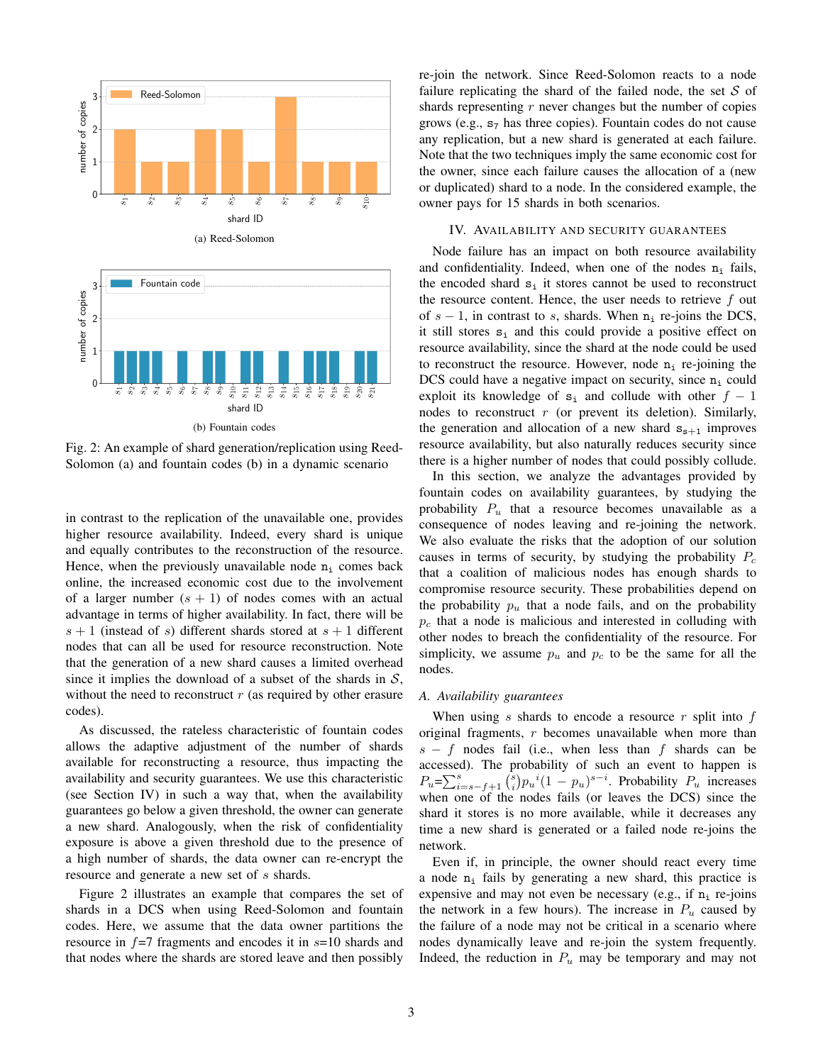



Fig. 2: An example of shard generation/replication using Reed-Solomon (a) and fountain codes (b) in a dynamic scenario

in contrast to the replication of the unavailable one, provides higher resource availability. Indeed, every shard is unique and equally contributes to the reconstruction of the resource. Hence, when the previously unavailable node  $n_i$  comes back online, the increased economic cost due to the involvement of a larger number  $(s + 1)$  of nodes comes with an actual advantage in terms of higher availability. In fact, there will be  $s + 1$  (instead of s) different shards stored at  $s + 1$  different nodes that can all be used for resource reconstruction. Note that the generation of a new shard causes a limited overhead since it implies the download of a subset of the shards in  $S$ , without the need to reconstruct  $r$  (as required by other erasure codes).

As discussed, the rateless characteristic of fountain codes allows the adaptive adjustment of the number of shards available for reconstructing a resource, thus impacting the availability and security guarantees. We use this characteristic (see Section IV) in such a way that, when the availability guarantees go below a given threshold, the owner can generate a new shard. Analogously, when the risk of confidentiality exposure is above a given threshold due to the presence of a high number of shards, the data owner can re-encrypt the resource and generate a new set of s shards.

Figure 2 illustrates an example that compares the set of shards in a DCS when using Reed-Solomon and fountain codes. Here, we assume that the data owner partitions the resource in  $f=7$  fragments and encodes it in  $s=10$  shards and that nodes where the shards are stored leave and then possibly re-join the network. Since Reed-Solomon reacts to a node failure replicating the shard of the failed node, the set  $S$  of shards representing  $r$  never changes but the number of copies grows (e.g.,  $s<sub>7</sub>$  has three copies). Fountain codes do not cause any replication, but a new shard is generated at each failure. Note that the two techniques imply the same economic cost for the owner, since each failure causes the allocation of a (new or duplicated) shard to a node. In the considered example, the owner pays for 15 shards in both scenarios.

#### IV. AVAILABILITY AND SECURITY GUARANTEES

Node failure has an impact on both resource availability and confidentiality. Indeed, when one of the nodes  $n_i$  fails, the encoded shard  $s_i$  it stores cannot be used to reconstruct the resource content. Hence, the user needs to retrieve  $f$  out of  $s - 1$ , in contrast to s, shards. When  $n_i$  re-joins the DCS, it still stores  $s_i$  and this could provide a positive effect on resource availability, since the shard at the node could be used to reconstruct the resource. However, node  $n_i$  re-joining the DCS could have a negative impact on security, since  $n_i$  could exploit its knowledge of  $s_i$  and collude with other  $f - 1$ nodes to reconstruct  $r$  (or prevent its deletion). Similarly, the generation and allocation of a new shard  $s_{s+1}$  improves resource availability, but also naturally reduces security since there is a higher number of nodes that could possibly collude.

In this section, we analyze the advantages provided by fountain codes on availability guarantees, by studying the probability  $P_u$  that a resource becomes unavailable as a consequence of nodes leaving and re-joining the network. We also evaluate the risks that the adoption of our solution causes in terms of security, by studying the probability  $P_c$ that a coalition of malicious nodes has enough shards to compromise resource security. These probabilities depend on the probability  $p_u$  that a node fails, and on the probability  $p_c$  that a node is malicious and interested in colluding with other nodes to breach the confidentiality of the resource. For simplicity, we assume  $p_u$  and  $p_c$  to be the same for all the nodes.

### *A. Availability guarantees*

When using  $s$  shards to encode a resource  $r$  split into  $f$ original fragments, r becomes unavailable when more than  $s - f$  nodes fail (i.e., when less than f shards can be accessed). The probability of such an event to happen is  $P_u = \sum_{i=s-f+1}^{s} {s \choose i} p_u{}^{i} (1-p_u)^{s-i}$ . Probability  $P_u$  increases when one of the nodes fails (or leaves the DCS) since the shard it stores is no more available, while it decreases any time a new shard is generated or a failed node re-joins the network.

Even if, in principle, the owner should react every time a node  $n_i$  fails by generating a new shard, this practice is expensive and may not even be necessary (e.g., if  $n_i$  re-joins the network in a few hours). The increase in  $P_u$  caused by the failure of a node may not be critical in a scenario where nodes dynamically leave and re-join the system frequently. Indeed, the reduction in  $P_u$  may be temporary and may not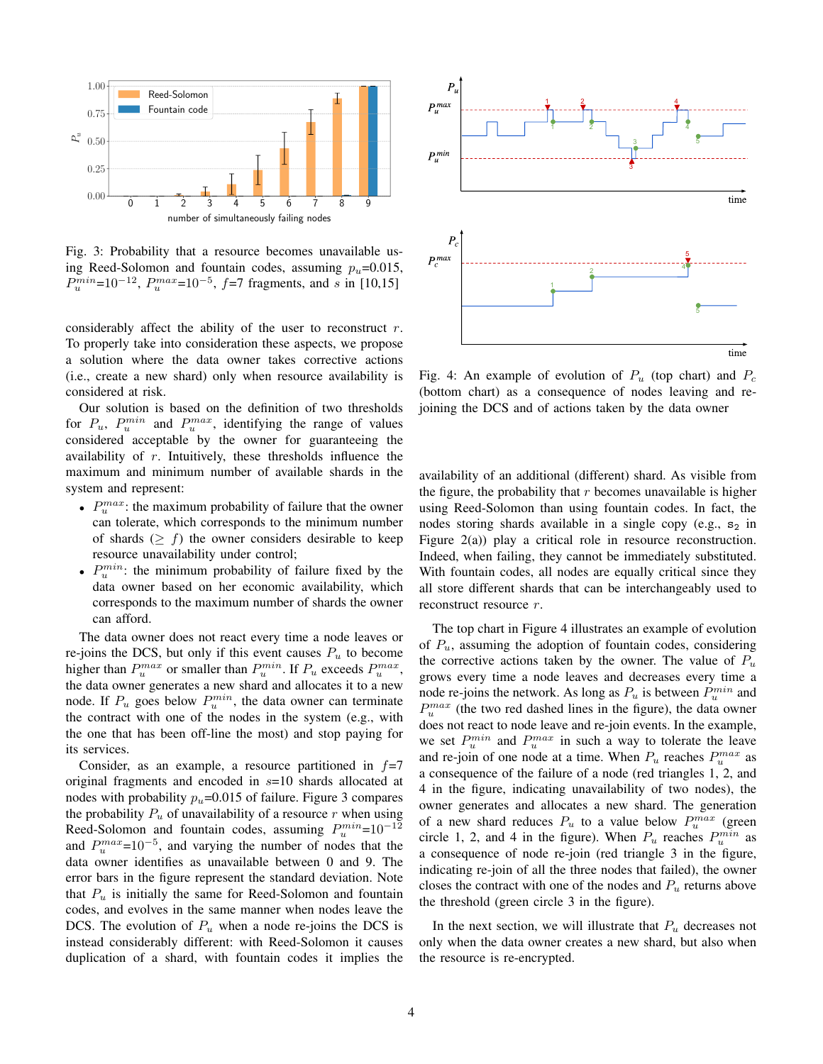

Fig. 3: Probability that a resource becomes unavailable using Reed-Solomon and fountain codes, assuming  $p_u=0.015$ ,  $P_u^{min}$ =10<sup>-12</sup>,  $P_u^{max}$ =10<sup>-5</sup>,  $f$ =7 fragments, and s in [10,15]

considerably affect the ability of the user to reconstruct  $r$ . To properly take into consideration these aspects, we propose a solution where the data owner takes corrective actions (i.e., create a new shard) only when resource availability is considered at risk.

Our solution is based on the definition of two thresholds for  $P_u$ ,  $P_u^{min}$  and  $P_u^{max}$ , identifying the range of values considered acceptable by the owner for guaranteeing the availability of  $r$ . Intuitively, these thresholds influence the maximum and minimum number of available shards in the system and represent:

- $P_u^{max}$ : the maximum probability of failure that the owner can tolerate, which corresponds to the minimum number of shards ( $\geq f$ ) the owner considers desirable to keep resource unavailability under control;
- $P_u^{min}$ : the minimum probability of failure fixed by the data owner based on her economic availability, which corresponds to the maximum number of shards the owner can afford.

The data owner does not react every time a node leaves or re-joins the DCS, but only if this event causes  $P_u$  to become higher than  $P_u^{max}$  or smaller than  $P_u^{min}$ . If  $P_u$  exceeds  $P_u^{max}$ , the data owner generates a new shard and allocates it to a new node. If  $P_u$  goes below  $P_u^{min}$ , the data owner can terminate the contract with one of the nodes in the system (e.g., with the one that has been off-line the most) and stop paying for its services.

Consider, as an example, a resource partitioned in  $f=7$ original fragments and encoded in s=10 shards allocated at nodes with probability  $p_u$ =0.015 of failure. Figure 3 compares the probability  $P_u$  of unavailability of a resource r when using Reed-Solomon and fountain codes, assuming  $P_u^{min}=10^{-12}$ and  $P_u^{max}=10^{-5}$ , and varying the number of nodes that the data owner identifies as unavailable between 0 and 9. The error bars in the figure represent the standard deviation. Note that  $P_u$  is initially the same for Reed-Solomon and fountain codes, and evolves in the same manner when nodes leave the DCS. The evolution of  $P_u$  when a node re-joins the DCS is instead considerably different: with Reed-Solomon it causes duplication of a shard, with fountain codes it implies the



Fig. 4: An example of evolution of  $P_u$  (top chart) and  $P_c$ (bottom chart) as a consequence of nodes leaving and rejoining the DCS and of actions taken by the data owner

availability of an additional (different) shard. As visible from the figure, the probability that  $r$  becomes unavailable is higher using Reed-Solomon than using fountain codes. In fact, the nodes storing shards available in a single copy (e.g.,  $s_2$  in Figure 2(a)) play a critical role in resource reconstruction. Indeed, when failing, they cannot be immediately substituted. With fountain codes, all nodes are equally critical since they all store different shards that can be interchangeably used to reconstruct resource r.

The top chart in Figure 4 illustrates an example of evolution of  $P_u$ , assuming the adoption of fountain codes, considering the corrective actions taken by the owner. The value of  $P_u$ grows every time a node leaves and decreases every time a node re-joins the network. As long as  $P_u$  is between  $P_u^{min}$  and  $P_u^{max}$  (the two red dashed lines in the figure), the data owner does not react to node leave and re-join events. In the example, we set  $P_u^{min}$  and  $P_u^{max}$  in such a way to tolerate the leave and re-join of one node at a time. When  $P_u$  reaches  $P_u^{max}$  as a consequence of the failure of a node (red triangles 1, 2, and 4 in the figure, indicating unavailability of two nodes), the owner generates and allocates a new shard. The generation of a new shard reduces  $P_u$  to a value below  $P_u^{max}$  (green circle 1, 2, and 4 in the figure). When  $P_u$  reaches  $P_u^{min}$  as a consequence of node re-join (red triangle 3 in the figure, indicating re-join of all the three nodes that failed), the owner closes the contract with one of the nodes and  $P_u$  returns above the threshold (green circle 3 in the figure).

In the next section, we will illustrate that  $P_u$  decreases not only when the data owner creates a new shard, but also when the resource is re-encrypted.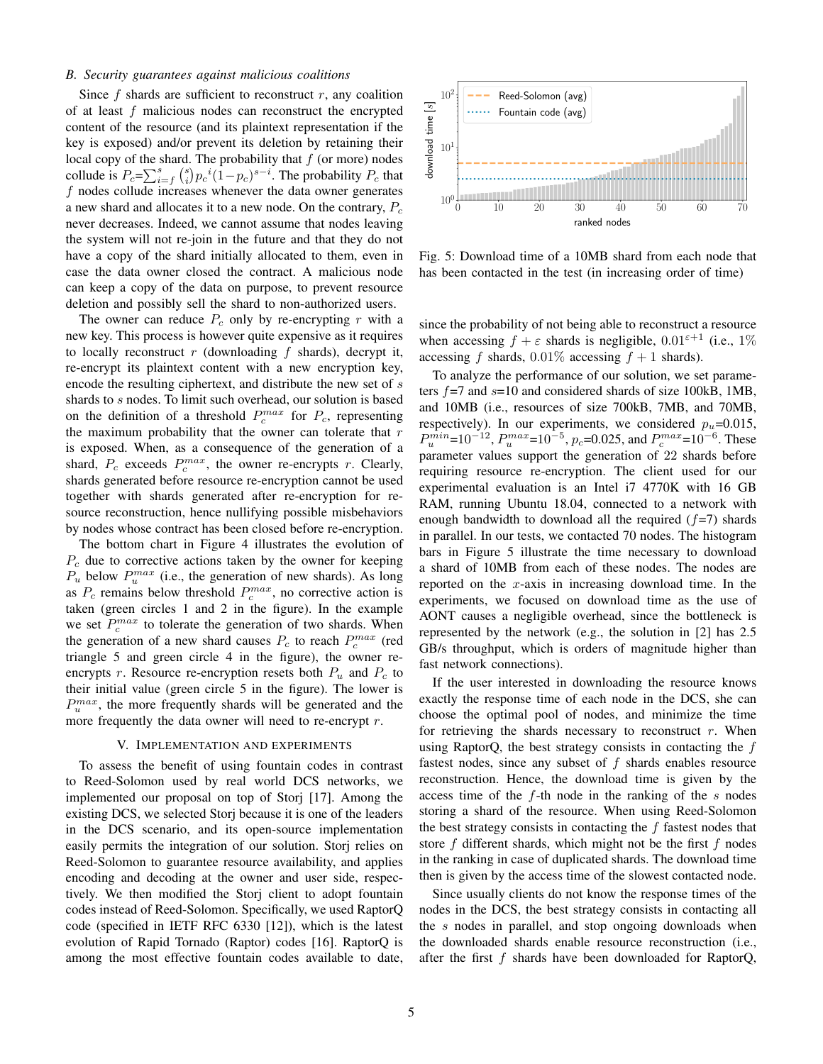### *B. Security guarantees against malicious coalitions*

Since  $f$  shards are sufficient to reconstruct  $r$ , any coalition of at least  $f$  malicious nodes can reconstruct the encrypted content of the resource (and its plaintext representation if the key is exposed) and/or prevent its deletion by retaining their local copy of the shard. The probability that  $f$  (or more) nodes collude is  $P_c = \sum_{i=f}^{s} {s \choose i} p_c^{i} (1-p_c)^{s-i}$ . The probability  $P_c$  that f nodes collude increases whenever the data owner generates a new shard and allocates it to a new node. On the contrary,  $P_c$ never decreases. Indeed, we cannot assume that nodes leaving the system will not re-join in the future and that they do not have a copy of the shard initially allocated to them, even in case the data owner closed the contract. A malicious node can keep a copy of the data on purpose, to prevent resource deletion and possibly sell the shard to non-authorized users.

The owner can reduce  $P_c$  only by re-encrypting r with a new key. This process is however quite expensive as it requires to locally reconstruct r (downloading f shards), decrypt it, re-encrypt its plaintext content with a new encryption key, encode the resulting ciphertext, and distribute the new set of s shards to s nodes. To limit such overhead, our solution is based on the definition of a threshold  $P_c^{max}$  for  $P_c$ , representing the maximum probability that the owner can tolerate that  $r$ is exposed. When, as a consequence of the generation of a shard,  $P_c$  exceeds  $P_c^{max}$ , the owner re-encrypts r. Clearly, shards generated before resource re-encryption cannot be used together with shards generated after re-encryption for resource reconstruction, hence nullifying possible misbehaviors by nodes whose contract has been closed before re-encryption.

The bottom chart in Figure 4 illustrates the evolution of  $P_c$  due to corrective actions taken by the owner for keeping  $P_u$  below  $P_u^{max}$  (i.e., the generation of new shards). As long as  $P_c$  remains below threshold  $P_c^{max}$ , no corrective action is taken (green circles 1 and 2 in the figure). In the example we set  $P_c^{max}$  to tolerate the generation of two shards. When the generation of a new shard causes  $P_c$  to reach  $P_c^{max}$  (red triangle 5 and green circle 4 in the figure), the owner reencrypts r. Resource re-encryption resets both  $P_u$  and  $P_c$  to their initial value (green circle 5 in the figure). The lower is  $P_u^{max}$ , the more frequently shards will be generated and the more frequently the data owner will need to re-encrypt r.

# V. IMPLEMENTATION AND EXPERIMENTS

To assess the benefit of using fountain codes in contrast to Reed-Solomon used by real world DCS networks, we implemented our proposal on top of Storj [17]. Among the existing DCS, we selected Storj because it is one of the leaders in the DCS scenario, and its open-source implementation easily permits the integration of our solution. Storj relies on Reed-Solomon to guarantee resource availability, and applies encoding and decoding at the owner and user side, respectively. We then modified the Storj client to adopt fountain codes instead of Reed-Solomon. Specifically, we used RaptorQ code (specified in IETF RFC 6330 [12]), which is the latest evolution of Rapid Tornado (Raptor) codes [16]. RaptorQ is among the most effective fountain codes available to date,



Fig. 5: Download time of a 10MB shard from each node that has been contacted in the test (in increasing order of time)

since the probability of not being able to reconstruct a resource when accessing  $f + \varepsilon$  shards is negligible,  $0.01^{\varepsilon+1}$  (i.e., 1%) accessing f shards,  $0.01\%$  accessing  $f + 1$  shards).

To analyze the performance of our solution, we set parameters  $f=7$  and  $s=10$  and considered shards of size 100kB, 1MB, and 10MB (i.e., resources of size 700kB, 7MB, and 70MB, respectively). In our experiments, we considered  $p_u=0.015$ ,  $P_u^{min}$ =10<sup>-12</sup>,  $P_u^{max}$ =10<sup>-5</sup>,  $p_c$ =0.025, and  $P_c^{max}$ =10<sup>-6</sup>. These parameter values support the generation of 22 shards before requiring resource re-encryption. The client used for our experimental evaluation is an Intel i7 4770K with 16 GB RAM, running Ubuntu 18.04, connected to a network with enough bandwidth to download all the required  $(f=7)$  shards in parallel. In our tests, we contacted 70 nodes. The histogram bars in Figure 5 illustrate the time necessary to download a shard of 10MB from each of these nodes. The nodes are reported on the  $x$ -axis in increasing download time. In the experiments, we focused on download time as the use of AONT causes a negligible overhead, since the bottleneck is represented by the network (e.g., the solution in [2] has 2.5 GB/s throughput, which is orders of magnitude higher than fast network connections).

If the user interested in downloading the resource knows exactly the response time of each node in the DCS, she can choose the optimal pool of nodes, and minimize the time for retrieving the shards necessary to reconstruct  $r$ . When using RaptorQ, the best strategy consists in contacting the  $f$ fastest nodes, since any subset of  $f$  shards enables resource reconstruction. Hence, the download time is given by the access time of the f-th node in the ranking of the s nodes storing a shard of the resource. When using Reed-Solomon the best strategy consists in contacting the  $f$  fastest nodes that store  $f$  different shards, which might not be the first  $f$  nodes in the ranking in case of duplicated shards. The download time then is given by the access time of the slowest contacted node.

Since usually clients do not know the response times of the nodes in the DCS, the best strategy consists in contacting all the s nodes in parallel, and stop ongoing downloads when the downloaded shards enable resource reconstruction (i.e., after the first f shards have been downloaded for RaptorQ,